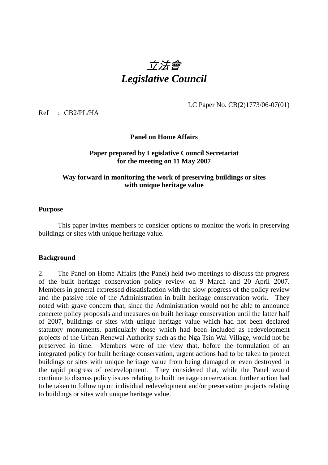# 立法會 *Legislative Council*

LC Paper No. CB(2)1773/06-07(01)

Ref : CB2/PL/HA

#### **Panel on Home Affairs**

#### **Paper prepared by Legislative Council Secretariat for the meeting on 11 May 2007**

## **Way forward in monitoring the work of preserving buildings or sites with unique heritage value**

#### **Purpose**

This paper invites members to consider options to monitor the work in preserving buildings or sites with unique heritage value.

#### **Background**

2. The Panel on Home Affairs (the Panel) held two meetings to discuss the progress of the built heritage conservation policy review on 9 March and 20 April 2007. Members in general expressed dissatisfaction with the slow progress of the policy review and the passive role of the Administration in built heritage conservation work. They noted with grave concern that, since the Administration would not be able to announce concrete policy proposals and measures on built heritage conservation until the latter half of 2007, buildings or sites with unique heritage value which had not been declared statutory monuments, particularly those which had been included as redevelopment projects of the Urban Renewal Authority such as the Nga Tsin Wai Village, would not be preserved in time. Members were of the view that, before the formulation of an integrated policy for built heritage conservation, urgent actions had to be taken to protect buildings or sites with unique heritage value from being damaged or even destroyed in the rapid progress of redevelopment. They considered that, while the Panel would continue to discuss policy issues relating to built heritage conservation, further action had to be taken to follow up on individual redevelopment and/or preservation projects relating to buildings or sites with unique heritage value.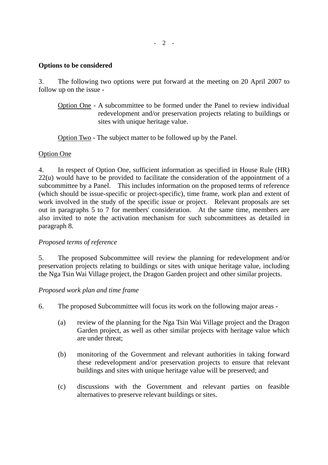- 2 -

## **Options to be considered**

3. The following two options were put forward at the meeting on 20 April 2007 to follow up on the issue -

 Option One - A subcommittee to be formed under the Panel to review individual redevelopment and/or preservation projects relating to buildings or sites with unique heritage value.

Option Two - The subject matter to be followed up by the Panel.

# Option One

4. In respect of Option One, sufficient information as specified in House Rule (HR) 22(u) would have to be provided to facilitate the consideration of the appointment of a subcommittee by a Panel. This includes information on the proposed terms of reference (which should be issue-specific or project-specific), time frame, work plan and extent of work involved in the study of the specific issue or project. Relevant proposals are set out in paragraphs 5 to 7 for members' consideration. At the same time, members are also invited to note the activation mechanism for such subcommittees as detailed in paragraph 8.

# *Proposed terms of reference*

5. The proposed Subcommittee will review the planning for redevelopment and/or preservation projects relating to buildings or sites with unique heritage value, including the Nga Tsin Wai Village project, the Dragon Garden project and other similar projects.

# *Proposed work plan and time frame*

- 6. The proposed Subcommittee will focus its work on the following major areas
	- (a) review of the planning for the Nga Tsin Wai Village project and the Dragon Garden project, as well as other similar projects with heritage value which are under threat;
	- (b) monitoring of the Government and relevant authorities in taking forward these redevelopment and/or preservation projects to ensure that relevant buildings and sites with unique heritage value will be preserved; and
	- (c) discussions with the Government and relevant parties on feasible alternatives to preserve relevant buildings or sites.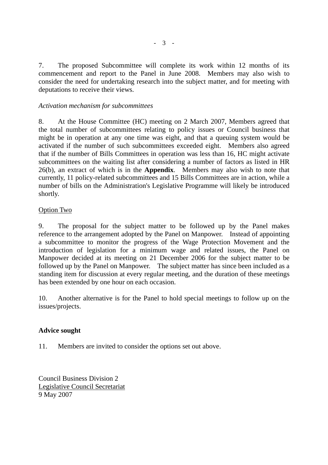7. The proposed Subcommittee will complete its work within 12 months of its commencement and report to the Panel in June 2008. Members may also wish to consider the need for undertaking research into the subject matter, and for meeting with deputations to receive their views.

## *Activation mechanism for subcommittees*

8. At the House Committee (HC) meeting on 2 March 2007, Members agreed that the total number of subcommittees relating to policy issues or Council business that might be in operation at any one time was eight, and that a queuing system would be activated if the number of such subcommittees exceeded eight. Members also agreed that if the number of Bills Committees in operation was less than 16, HC might activate subcommittees on the waiting list after considering a number of factors as listed in HR 26(b), an extract of which is in the **Appendix**. Members may also wish to note that currently, 11 policy-related subcommittees and 15 Bills Committees are in action, while a number of bills on the Administration's Legislative Programme will likely be introduced shortly.

## Option Two

9. The proposal for the subject matter to be followed up by the Panel makes reference to the arrangement adopted by the Panel on Manpower. Instead of appointing a subcommittee to monitor the progress of the Wage Protection Movement and the introduction of legislation for a minimum wage and related issues, the Panel on Manpower decided at its meeting on 21 December 2006 for the subject matter to be followed up by the Panel on Manpower. The subject matter has since been included as a standing item for discussion at every regular meeting, and the duration of these meetings has been extended by one hour on each occasion.

10. Another alternative is for the Panel to hold special meetings to follow up on the issues/projects.

# **Advice sought**

11. Members are invited to consider the options set out above.

Council Business Division 2 Legislative Council Secretariat 9 May 2007